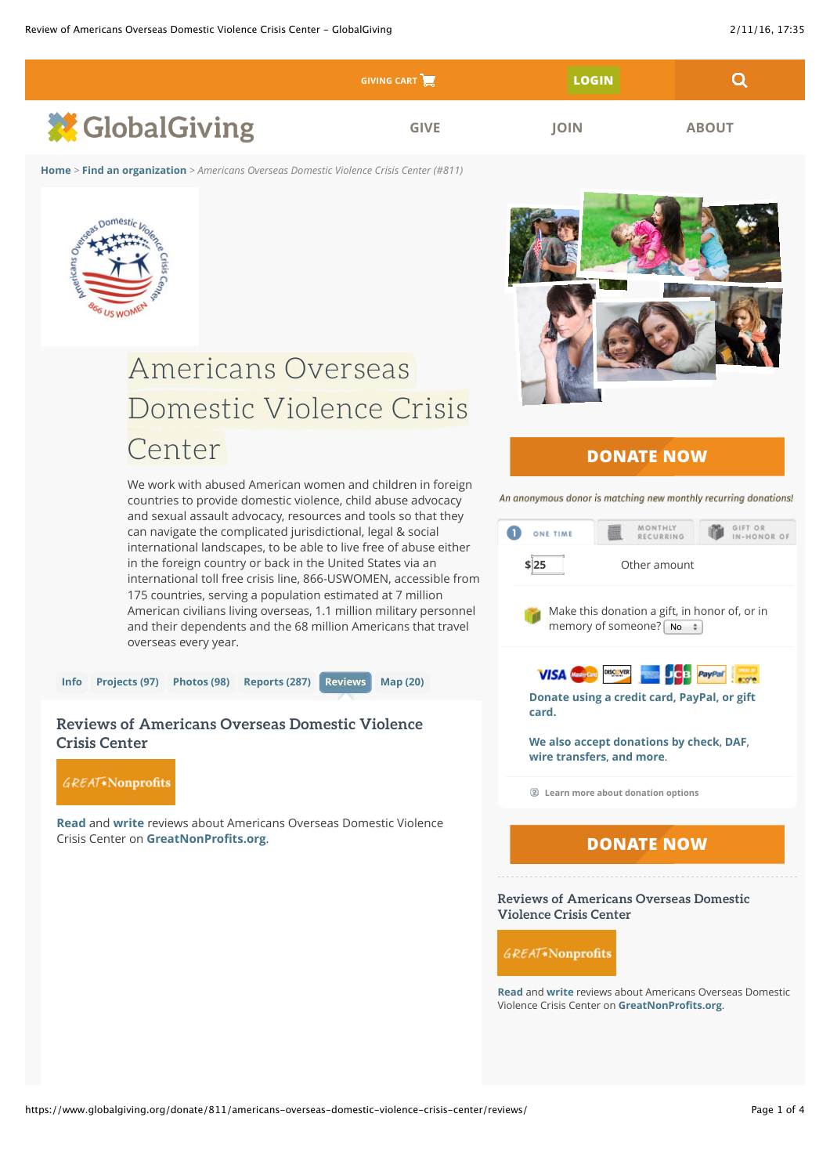|                        | <b>GIVING CART</b> | <b>LOGIN</b> |              |
|------------------------|--------------------|--------------|--------------|
| <b>XX</b> GlobalGiving | <b>GIVE</b>        | <b>IOIN</b>  | <b>ABOUT</b> |

**[Home](https://www.globalgiving.org/index.html)** *>* **[Find an organization](https://www.globalgiving.org/dy/v2/content/browseOrganizations)** *> Americans Overseas Domestic Violence Crisis Center (#811)*



## Americans Overseas Domestic Violence Crisis Domestic Violence Crisis Center

We work with abused American women and children in foreign countries to provide domestic violence, child abuse advocacy and sexual assault advocacy, resources and tools so that they can navigate the complicated jurisdictional, legal & social international landscapes, to be able to live free of abuse either in the foreign country or back in the United States via an international toll free crisis line, 866-USWOMEN, accessible from 175 countries, serving a population estimated at 7 million American civilians living overseas, 1.1 million military personnel and their dependents and the 68 million Americans that travel overseas every year.



## **Reviews of Americans Overseas Domestic Violence Crisis Center**



**[Read](http://greatnonprofits.org/organizations/profile/93-1281870/ein)** and **[write](http://greatnonprofits.org/organizations/profile/93-1281870/ein)** reviews about Americans Overseas Domestic Violence Crisis Center on **[GreatNonPro](http://greatnonprofits.org/organizations/profile/93-1281870/ein)fits.org**.



## **DONATE NOW**

An anonymous donor is matching new monthly recurring donations!



**[Read](http://greatnonprofits.org/organizations/profile/93-1281870/ein)** and **[write](http://greatnonprofits.org/organizations/profile/93-1281870/ein)** reviews about Americans Overseas Domestic Violence Crisis Center on **[GreatNonPro](http://greatnonprofits.org/organizations/profile/93-1281870/ein)fits.org**.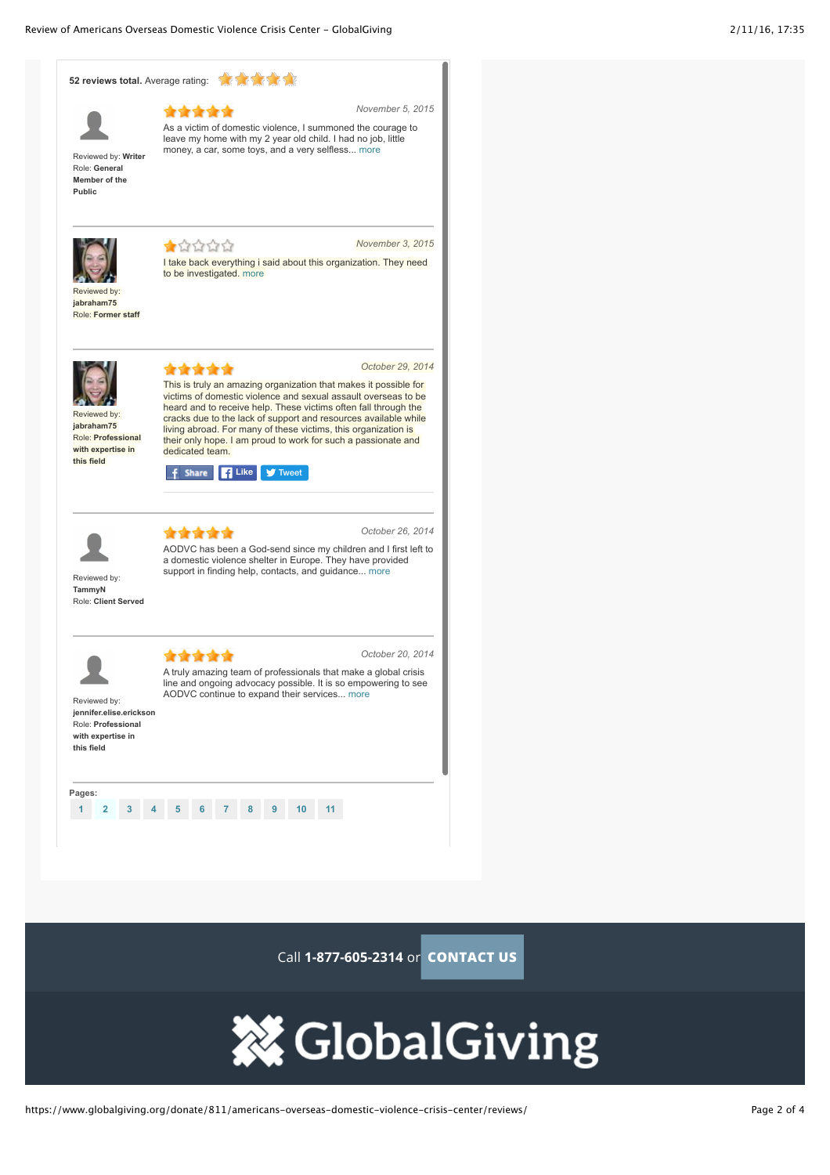



Call **[1-877-605-2314](tel://1.877.605.2314)** or **CONTACT US**

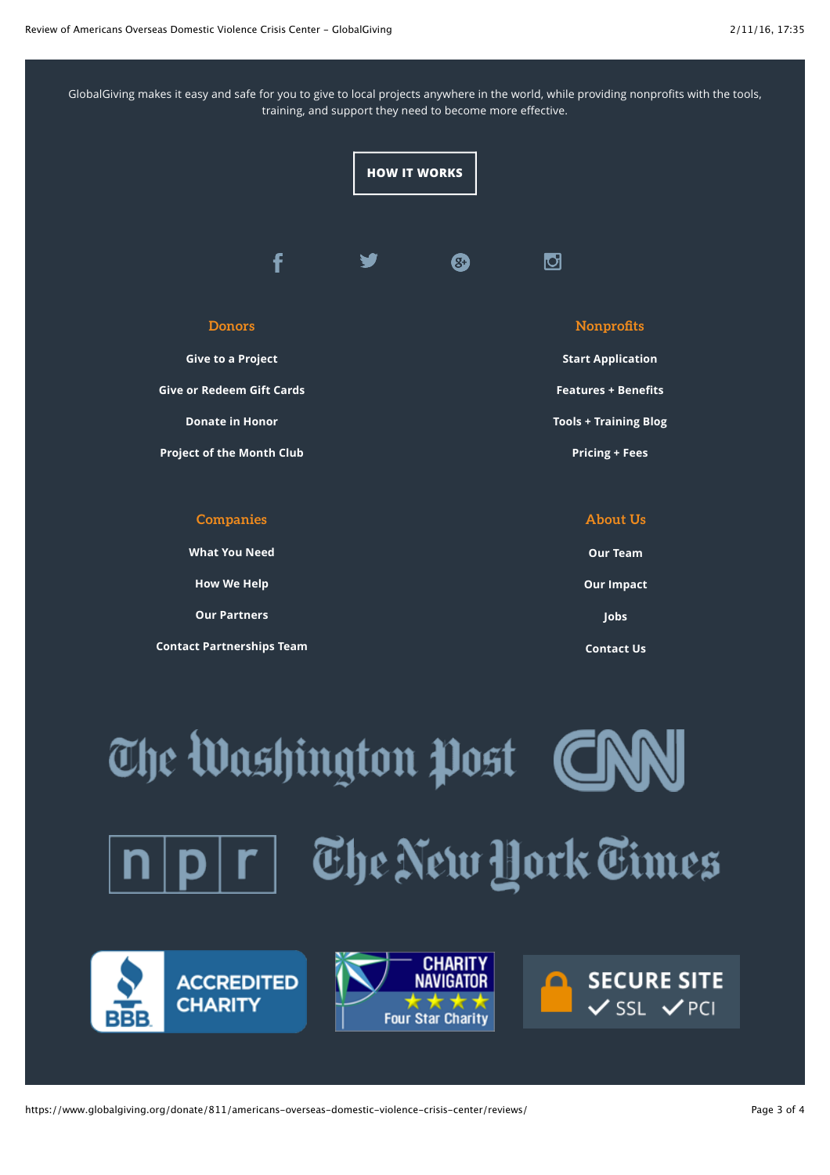GlobalGiving makes it easy and safe for you to give to local projects anywhere in the world, while providing nonprofits with the tools, training, and support they need to become more effective.



| <b>Companies</b>                 | <b>About Us</b>   |
|----------------------------------|-------------------|
| <b>What You Need</b>             | <b>Our Team</b>   |
| <b>How We Help</b>               | <b>Our Impact</b> |
| <b>Our Partners</b>              | <b>Jobs</b>       |
| <b>Contact Partnerships Team</b> | <b>Contact Us</b> |

The Washington Post **C** The New York Times